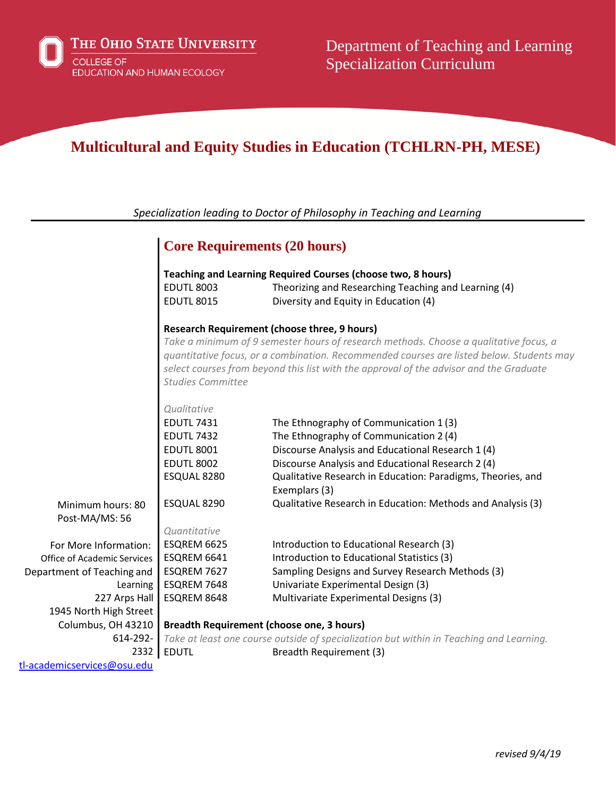# **Multicultural and Equity Studies in Education (TCHLRN-PH, MESE)**

*Specialization leading to Doctor of Philosophy in Teaching and Learning*

|                                     | <b>Core Requirements (20 hours)</b>                                                                                                                                                                                                                                                                                                                            |                                                                                                                      |
|-------------------------------------|----------------------------------------------------------------------------------------------------------------------------------------------------------------------------------------------------------------------------------------------------------------------------------------------------------------------------------------------------------------|----------------------------------------------------------------------------------------------------------------------|
|                                     | <b>EDUTL 8003</b>                                                                                                                                                                                                                                                                                                                                              | Teaching and Learning Required Courses (choose two, 8 hours)<br>Theorizing and Researching Teaching and Learning (4) |
|                                     | <b>EDUTL 8015</b>                                                                                                                                                                                                                                                                                                                                              | Diversity and Equity in Education (4)                                                                                |
|                                     | <b>Research Requirement (choose three, 9 hours)</b><br>Take a minimum of 9 semester hours of research methods. Choose a qualitative focus, a<br>quantitative focus, or a combination. Recommended courses are listed below. Students may<br>select courses from beyond this list with the approval of the advisor and the Graduate<br><b>Studies Committee</b> |                                                                                                                      |
|                                     | Qualitative                                                                                                                                                                                                                                                                                                                                                    |                                                                                                                      |
|                                     | <b>EDUTL 7431</b>                                                                                                                                                                                                                                                                                                                                              | The Ethnography of Communication 1(3)                                                                                |
|                                     | <b>EDUTL 7432</b>                                                                                                                                                                                                                                                                                                                                              | The Ethnography of Communication 2 (4)                                                                               |
|                                     | <b>EDUTL 8001</b>                                                                                                                                                                                                                                                                                                                                              | Discourse Analysis and Educational Research 1 (4)                                                                    |
|                                     | <b>EDUTL 8002</b>                                                                                                                                                                                                                                                                                                                                              | Discourse Analysis and Educational Research 2 (4)                                                                    |
|                                     | ESQUAL 8280                                                                                                                                                                                                                                                                                                                                                    | Qualitative Research in Education: Paradigms, Theories, and<br>Exemplars (3)                                         |
| Minimum hours: 80<br>Post-MA/MS: 56 | ESQUAL 8290                                                                                                                                                                                                                                                                                                                                                    | Qualitative Research in Education: Methods and Analysis (3)                                                          |
|                                     | Quantitative                                                                                                                                                                                                                                                                                                                                                   |                                                                                                                      |
| For More Information:               | ESQREM 6625                                                                                                                                                                                                                                                                                                                                                    | Introduction to Educational Research (3)                                                                             |
| <b>Office of Academic Services</b>  | ESQREM 6641                                                                                                                                                                                                                                                                                                                                                    | Introduction to Educational Statistics (3)                                                                           |
| Department of Teaching and          | ESQREM 7627                                                                                                                                                                                                                                                                                                                                                    | Sampling Designs and Survey Research Methods (3)                                                                     |
| Learning                            | ESQREM 7648                                                                                                                                                                                                                                                                                                                                                    | Univariate Experimental Design (3)                                                                                   |
| 227 Arps Hall                       | ESQREM 8648                                                                                                                                                                                                                                                                                                                                                    | Multivariate Experimental Designs (3)                                                                                |
| 1945 North High Street              |                                                                                                                                                                                                                                                                                                                                                                |                                                                                                                      |
| Columbus, OH 43210                  | <b>Breadth Requirement (choose one, 3 hours)</b>                                                                                                                                                                                                                                                                                                               |                                                                                                                      |
| 614-292-                            |                                                                                                                                                                                                                                                                                                                                                                | Take at least one course outside of specialization but within in Teaching and Learning.                              |
| 2332                                | <b>EDUTL</b>                                                                                                                                                                                                                                                                                                                                                   | Breadth Requirement (3)                                                                                              |

[tl-academicservices@osu.edu](mailto:tl-academicservices@osu.edu)